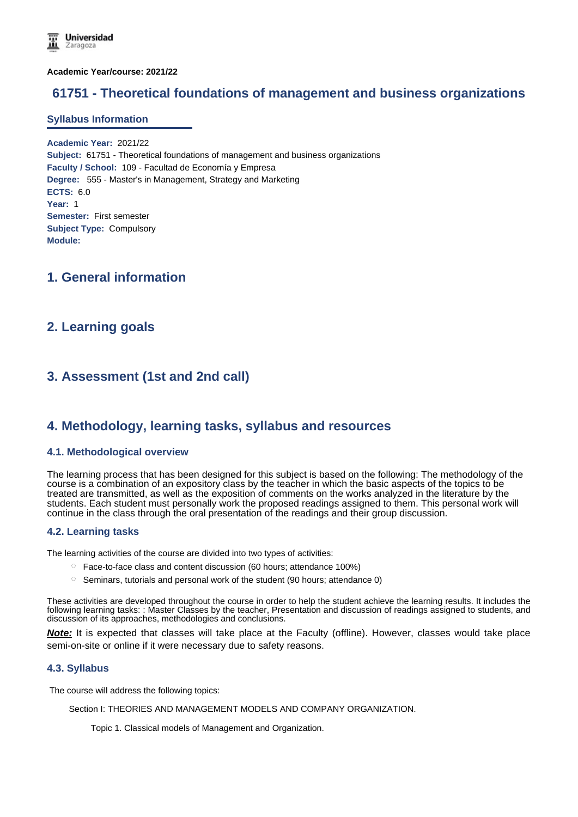**Academic Year/course: 2021/22**

# **61751 - Theoretical foundations of management and business organizations**

#### **Syllabus Information**

**Academic Year:** 2021/22 **Subject:** 61751 - Theoretical foundations of management and business organizations **Faculty / School:** 109 - Facultad de Economía y Empresa **Degree:** 555 - Master's in Management, Strategy and Marketing **ECTS:** 6.0 **Year:** 1 **Semester:** First semester **Subject Type:** Compulsory **Module:**

# **1. General information**

## **2. Learning goals**

# **3. Assessment (1st and 2nd call)**

## **4. Methodology, learning tasks, syllabus and resources**

## **4.1. Methodological overview**

The learning process that has been designed for this subject is based on the following: The methodology of the course is a combination of an expository class by the teacher in which the basic aspects of the topics to be treated are transmitted, as well as the exposition of comments on the works analyzed in the literature by the students. Each student must personally work the proposed readings assigned to them. This personal work will continue in the class through the oral presentation of the readings and their group discussion.

## **4.2. Learning tasks**

The learning activities of the course are divided into two types of activities:

- $\degree$  Face-to-face class and content discussion (60 hours; attendance 100%)
- $\circ$  Seminars, tutorials and personal work of the student (90 hours; attendance 0)

These activities are developed throughout the course in order to help the student achieve the learning results. It includes the following learning tasks: : Master Classes by the teacher, Presentation and discussion of readings assigned to students, and discussion of its approaches, methodologies and conclusions.

**Note:** It is expected that classes will take place at the Faculty (offline). However, classes would take place semi-on-site or online if it were necessary due to safety reasons.

## **4.3. Syllabus**

The course will address the following topics:

Section I: THEORIES AND MANAGEMENT MODELS AND COMPANY ORGANIZATION.

Topic 1. Classical models of Management and Organization.